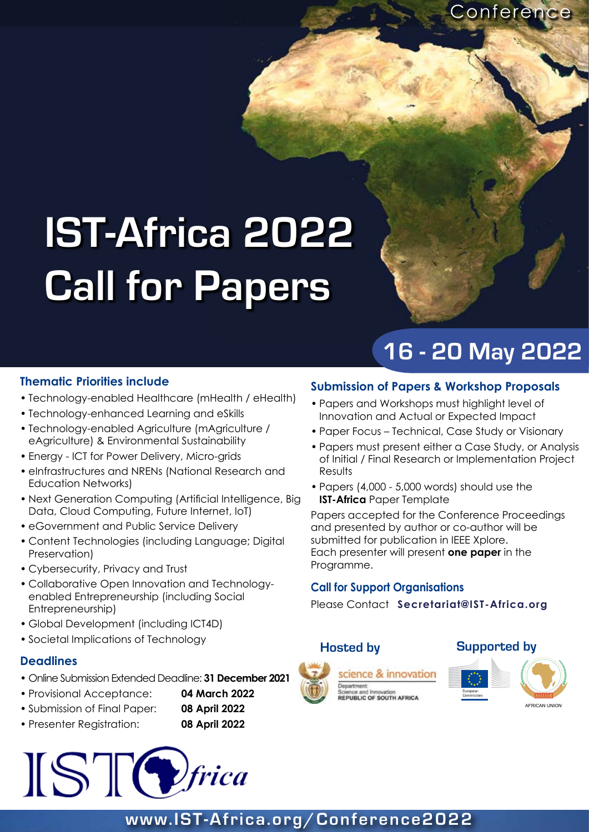**Conference** 

# **IST-Africa 2022 Call for Papers**

# **16 - 20 May 2022**

### **Thematic Priorities include**

- Technology-enabled Healthcare (mHealth / eHealth) •
- Technology-enhanced Learning and eSkills •
- Technology-enabled Agriculture (mAgriculture / eAgriculture) & Environmental Sustainability
- Energy ICT for Power Delivery, Micro-grids
- eInfrastructures and NRENs (National Research and Education Networks)
- Next Generation Computing (Artificial Intelligence, Big Data, Cloud Computing, Future Internet, IoT)
- eGovernment and Public Service Delivery
- Content Technologies (including Language; Digital Preservation)
- Cybersecurity, Privacy and Trust •
- Collaborative Open Innovation and Technology-• enabled Entrepreneurship (including Social Entrepreneurship)
- Global Development (including ICT4D)
- Societal Implications of Technology •

### **Deadlines**

- Online Submission Extended Deadline: **31 December 2021** •
- Provisional Acceptance: **04 March 2022** •
- Submission of Final Paper: **08 April 2022** •
- Presenter Registration: **08 April 2022** •



### **Submission of Papers & Workshop Proposals**

- Papers and Workshops must highlight level of Innovation and Actual or Expected Impact
- Paper Focus Technical, Case Study or Visionary
- Papers must present either a Case Study, or Analysis of Initial / Final Research or Implementation Project **Results**
- Papers (4,000 5,000 words) should use the **IST-Africa** Paper Template

Papers accepted for the Conference Proceedings and presented by author or co-author will be submitted for publication in IEEE Xplore. Each presenter will present **one paper** in the Programme.

### **Call for Support Organisations**

Please Contact **Secretariat@IST-Africa.org**





## **www.IST-Africa.org/Conference2022**